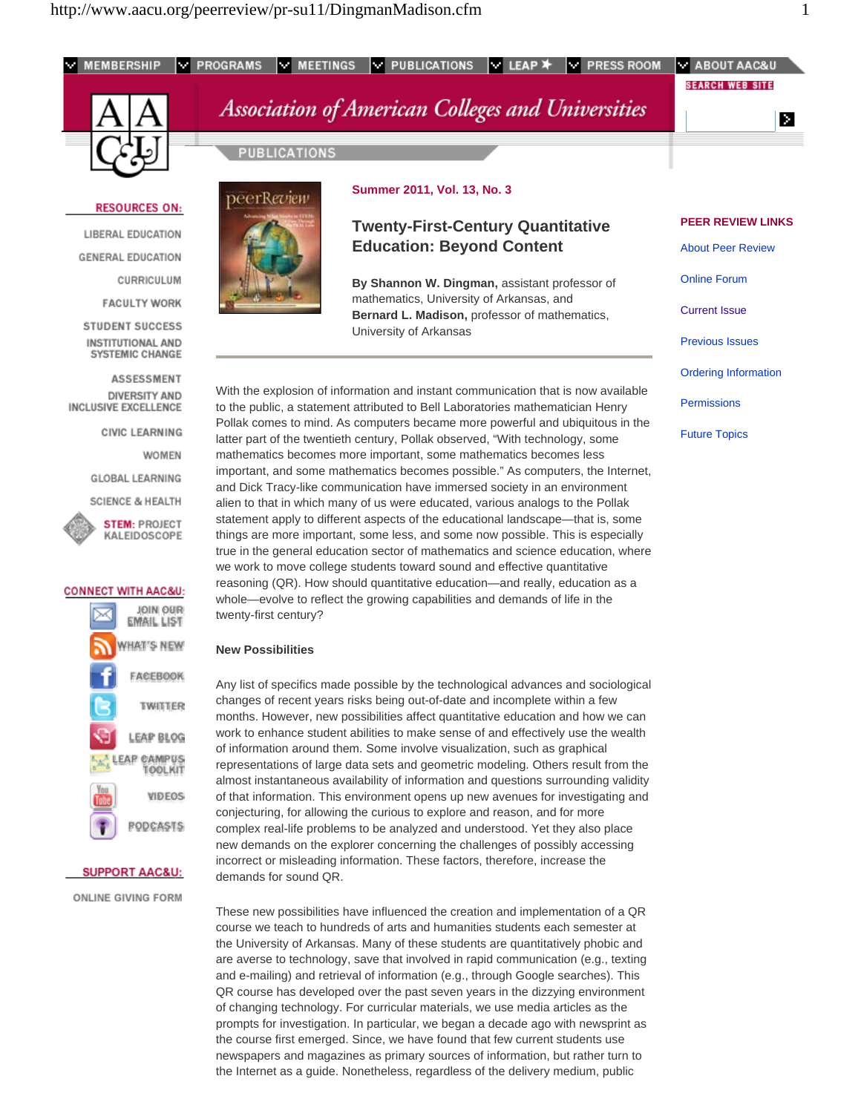

course we teach to hundreds of arts and humanities students each semester at the University of Arkansas. Many of these students are quantitatively phobic and are averse to technology, save that involved in rapid communication (e.g., texting and e-mailing) and retrieval of information (e.g., through Google searches). This QR course has developed over the past seven years in the dizzying environment of changing technology. For curricular materials, we use media articles as the prompts for investigation. In particular, we began a decade ago with newsprint as the course first emerged. Since, we have found that few current students use newspapers and magazines as primary sources of information, but rather turn to the Internet as a guide. Nonetheless, regardless of the delivery medium, public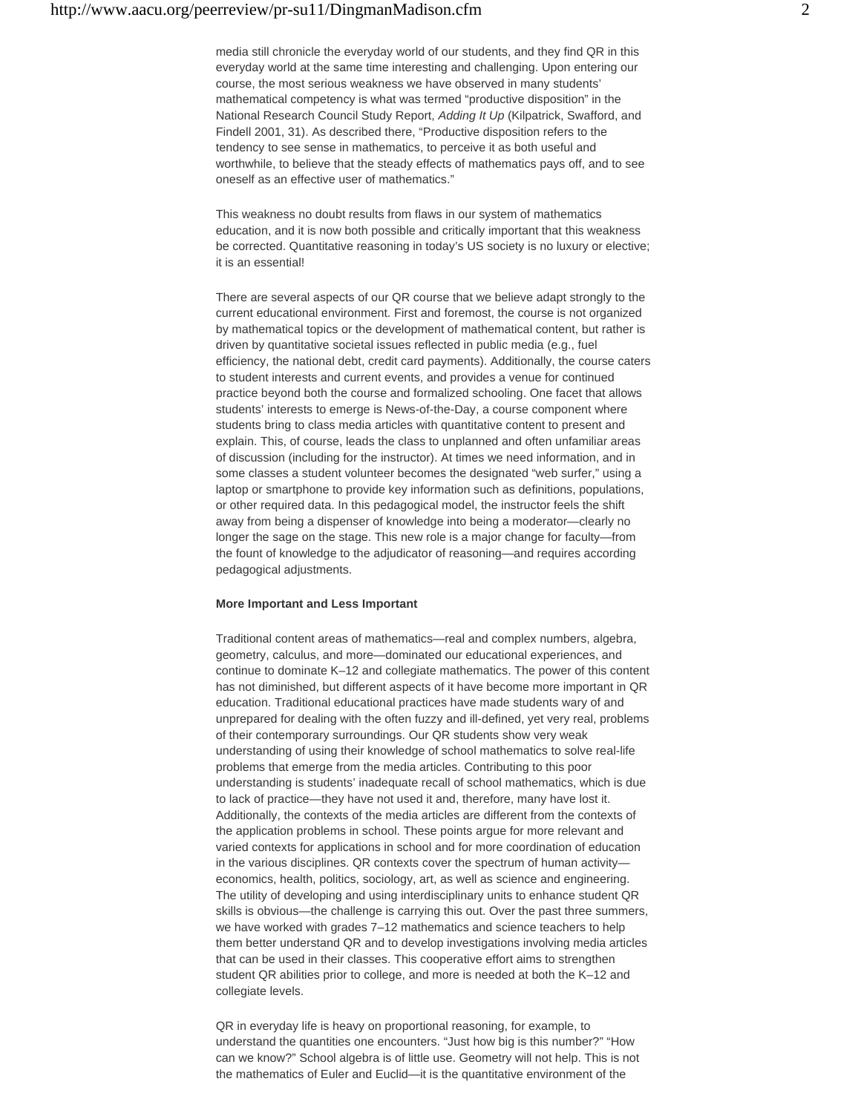media still chronicle the everyday world of our students, and they find QR in this everyday world at the same time interesting and challenging. Upon entering our course, the most serious weakness we have observed in many students' mathematical competency is what was termed "productive disposition" in the National Research Council Study Report, *Adding It Up* (Kilpatrick, Swafford, and Findell 2001, 31). As described there, "Productive disposition refers to the tendency to see sense in mathematics, to perceive it as both useful and worthwhile, to believe that the steady effects of mathematics pays off, and to see oneself as an effective user of mathematics."

This weakness no doubt results from flaws in our system of mathematics education, and it is now both possible and critically important that this weakness be corrected. Quantitative reasoning in today's US society is no luxury or elective; it is an essential!

There are several aspects of our QR course that we believe adapt strongly to the current educational environment. First and foremost, the course is not organized by mathematical topics or the development of mathematical content, but rather is driven by quantitative societal issues reflected in public media (e.g., fuel efficiency, the national debt, credit card payments). Additionally, the course caters to student interests and current events, and provides a venue for continued practice beyond both the course and formalized schooling. One facet that allows students' interests to emerge is News-of-the-Day, a course component where students bring to class media articles with quantitative content to present and explain. This, of course, leads the class to unplanned and often unfamiliar areas of discussion (including for the instructor). At times we need information, and in some classes a student volunteer becomes the designated "web surfer," using a laptop or smartphone to provide key information such as definitions, populations, or other required data. In this pedagogical model, the instructor feels the shift away from being a dispenser of knowledge into being a moderator—clearly no longer the sage on the stage. This new role is a major change for faculty—from the fount of knowledge to the adjudicator of reasoning—and requires according pedagogical adjustments.

## **More Important and Less Important**

Traditional content areas of mathematics—real and complex numbers, algebra, geometry, calculus, and more—dominated our educational experiences, and continue to dominate K–12 and collegiate mathematics. The power of this content has not diminished, but different aspects of it have become more important in QR education. Traditional educational practices have made students wary of and unprepared for dealing with the often fuzzy and ill-defined, yet very real, problems of their contemporary surroundings. Our QR students show very weak understanding of using their knowledge of school mathematics to solve real-life problems that emerge from the media articles. Contributing to this poor understanding is students' inadequate recall of school mathematics, which is due to lack of practice—they have not used it and, therefore, many have lost it. Additionally, the contexts of the media articles are different from the contexts of the application problems in school. These points argue for more relevant and varied contexts for applications in school and for more coordination of education in the various disciplines. QR contexts cover the spectrum of human activity economics, health, politics, sociology, art, as well as science and engineering. The utility of developing and using interdisciplinary units to enhance student QR skills is obvious—the challenge is carrying this out. Over the past three summers, we have worked with grades 7–12 mathematics and science teachers to help them better understand QR and to develop investigations involving media articles that can be used in their classes. This cooperative effort aims to strengthen student QR abilities prior to college, and more is needed at both the K–12 and collegiate levels.

QR in everyday life is heavy on proportional reasoning, for example, to understand the quantities one encounters. "Just how big is this number?" "How can we know?" School algebra is of little use. Geometry will not help. This is not the mathematics of Euler and Euclid—it is the quantitative environment of the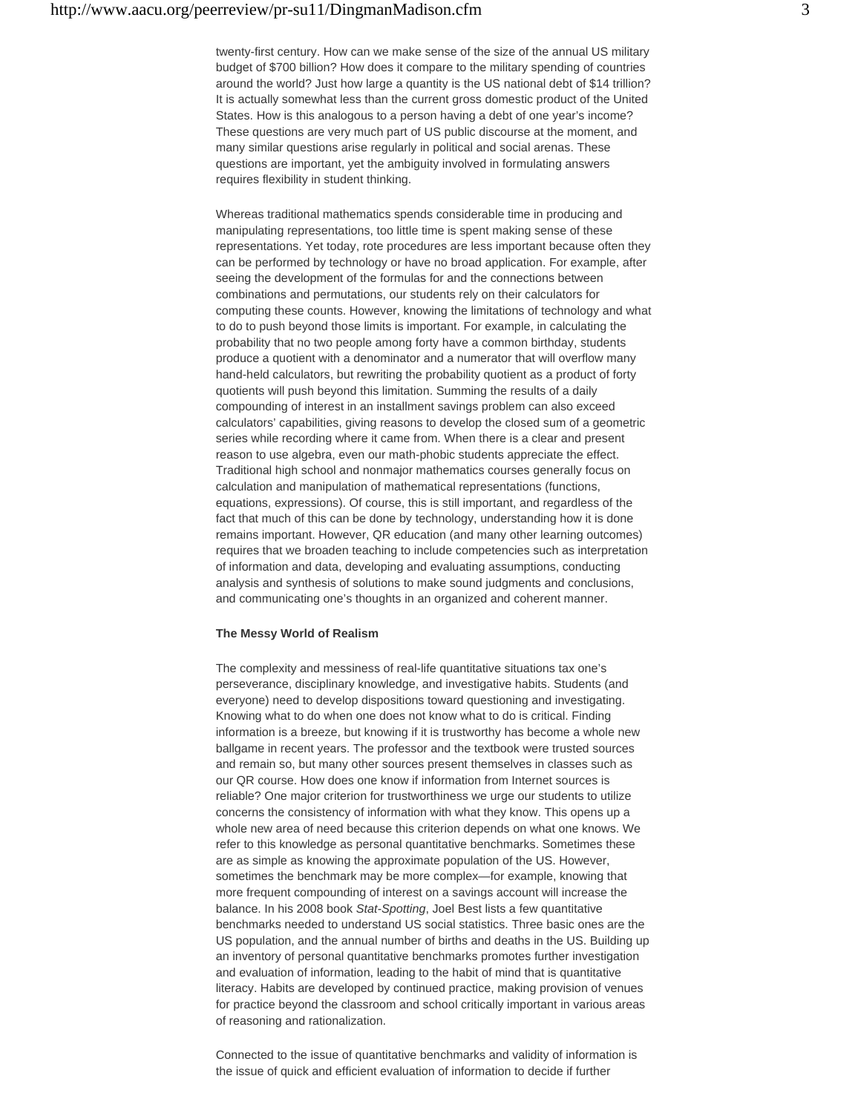twenty-first century. How can we make sense of the size of the annual US military budget of \$700 billion? How does it compare to the military spending of countries around the world? Just how large a quantity is the US national debt of \$14 trillion? It is actually somewhat less than the current gross domestic product of the United States. How is this analogous to a person having a debt of one year's income? These questions are very much part of US public discourse at the moment, and many similar questions arise regularly in political and social arenas. These questions are important, yet the ambiguity involved in formulating answers requires flexibility in student thinking.

Whereas traditional mathematics spends considerable time in producing and manipulating representations, too little time is spent making sense of these representations. Yet today, rote procedures are less important because often they can be performed by technology or have no broad application. For example, after seeing the development of the formulas for and the connections between combinations and permutations, our students rely on their calculators for computing these counts. However, knowing the limitations of technology and what to do to push beyond those limits is important. For example, in calculating the probability that no two people among forty have a common birthday, students produce a quotient with a denominator and a numerator that will overflow many hand-held calculators, but rewriting the probability quotient as a product of forty quotients will push beyond this limitation. Summing the results of a daily compounding of interest in an installment savings problem can also exceed calculators' capabilities, giving reasons to develop the closed sum of a geometric series while recording where it came from. When there is a clear and present reason to use algebra, even our math-phobic students appreciate the effect. Traditional high school and nonmajor mathematics courses generally focus on calculation and manipulation of mathematical representations (functions, equations, expressions). Of course, this is still important, and regardless of the fact that much of this can be done by technology, understanding how it is done remains important. However, QR education (and many other learning outcomes) requires that we broaden teaching to include competencies such as interpretation of information and data, developing and evaluating assumptions, conducting analysis and synthesis of solutions to make sound judgments and conclusions, and communicating one's thoughts in an organized and coherent manner.

### **The Messy World of Realism**

The complexity and messiness of real-life quantitative situations tax one's perseverance, disciplinary knowledge, and investigative habits. Students (and everyone) need to develop dispositions toward questioning and investigating. Knowing what to do when one does not know what to do is critical. Finding information is a breeze, but knowing if it is trustworthy has become a whole new ballgame in recent years. The professor and the textbook were trusted sources and remain so, but many other sources present themselves in classes such as our QR course. How does one know if information from Internet sources is reliable? One major criterion for trustworthiness we urge our students to utilize concerns the consistency of information with what they know. This opens up a whole new area of need because this criterion depends on what one knows. We refer to this knowledge as personal quantitative benchmarks. Sometimes these are as simple as knowing the approximate population of the US. However, sometimes the benchmark may be more complex—for example, knowing that more frequent compounding of interest on a savings account will increase the balance. In his 2008 book *Stat-Spotting*, Joel Best lists a few quantitative benchmarks needed to understand US social statistics. Three basic ones are the US population, and the annual number of births and deaths in the US. Building up an inventory of personal quantitative benchmarks promotes further investigation and evaluation of information, leading to the habit of mind that is quantitative literacy. Habits are developed by continued practice, making provision of venues for practice beyond the classroom and school critically important in various areas of reasoning and rationalization.

Connected to the issue of quantitative benchmarks and validity of information is the issue of quick and efficient evaluation of information to decide if further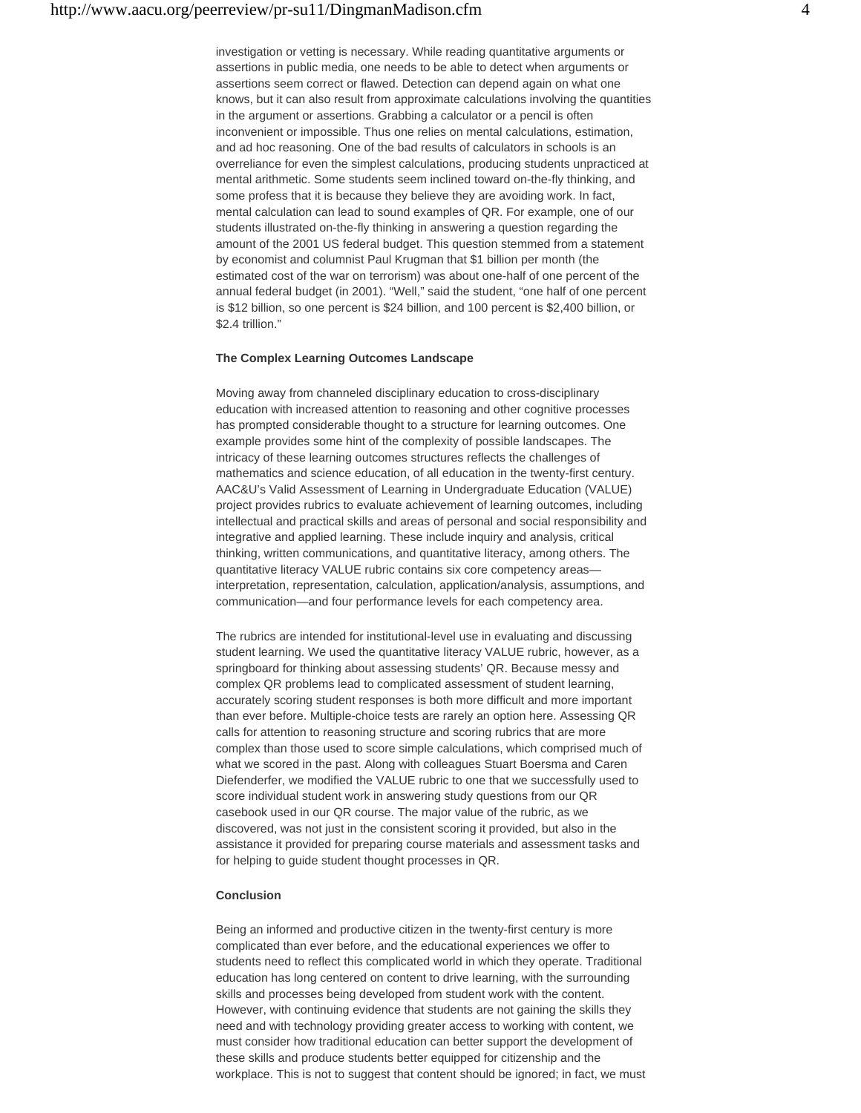investigation or vetting is necessary. While reading quantitative arguments or assertions in public media, one needs to be able to detect when arguments or assertions seem correct or flawed. Detection can depend again on what one knows, but it can also result from approximate calculations involving the quantities in the argument or assertions. Grabbing a calculator or a pencil is often inconvenient or impossible. Thus one relies on mental calculations, estimation, and ad hoc reasoning. One of the bad results of calculators in schools is an overreliance for even the simplest calculations, producing students unpracticed at mental arithmetic. Some students seem inclined toward on-the-fly thinking, and some profess that it is because they believe they are avoiding work. In fact, mental calculation can lead to sound examples of QR. For example, one of our students illustrated on-the-fly thinking in answering a question regarding the amount of the 2001 US federal budget. This question stemmed from a statement by economist and columnist Paul Krugman that \$1 billion per month (the estimated cost of the war on terrorism) was about one-half of one percent of the annual federal budget (in 2001). "Well," said the student, "one half of one percent is \$12 billion, so one percent is \$24 billion, and 100 percent is \$2,400 billion, or \$2.4 trillion."

### **The Complex Learning Outcomes Landscape**

Moving away from channeled disciplinary education to cross-disciplinary education with increased attention to reasoning and other cognitive processes has prompted considerable thought to a structure for learning outcomes. One example provides some hint of the complexity of possible landscapes. The intricacy of these learning outcomes structures reflects the challenges of mathematics and science education, of all education in the twenty-first century. AAC&U's Valid Assessment of Learning in Undergraduate Education (VALUE) project provides rubrics to evaluate achievement of learning outcomes, including intellectual and practical skills and areas of personal and social responsibility and integrative and applied learning. These include inquiry and analysis, critical thinking, written communications, and quantitative literacy, among others. The quantitative literacy VALUE rubric contains six core competency areas interpretation, representation, calculation, application/analysis, assumptions, and communication—and four performance levels for each competency area.

The rubrics are intended for institutional-level use in evaluating and discussing student learning. We used the quantitative literacy VALUE rubric, however, as a springboard for thinking about assessing students' QR. Because messy and complex QR problems lead to complicated assessment of student learning, accurately scoring student responses is both more difficult and more important than ever before. Multiple-choice tests are rarely an option here. Assessing QR calls for attention to reasoning structure and scoring rubrics that are more complex than those used to score simple calculations, which comprised much of what we scored in the past. Along with colleagues Stuart Boersma and Caren Diefenderfer, we modified the VALUE rubric to one that we successfully used to score individual student work in answering study questions from our QR casebook used in our QR course. The major value of the rubric, as we discovered, was not just in the consistent scoring it provided, but also in the assistance it provided for preparing course materials and assessment tasks and for helping to guide student thought processes in QR.

# **Conclusion**

Being an informed and productive citizen in the twenty-first century is more complicated than ever before, and the educational experiences we offer to students need to reflect this complicated world in which they operate. Traditional education has long centered on content to drive learning, with the surrounding skills and processes being developed from student work with the content. However, with continuing evidence that students are not gaining the skills they need and with technology providing greater access to working with content, we must consider how traditional education can better support the development of these skills and produce students better equipped for citizenship and the workplace. This is not to suggest that content should be ignored; in fact, we must